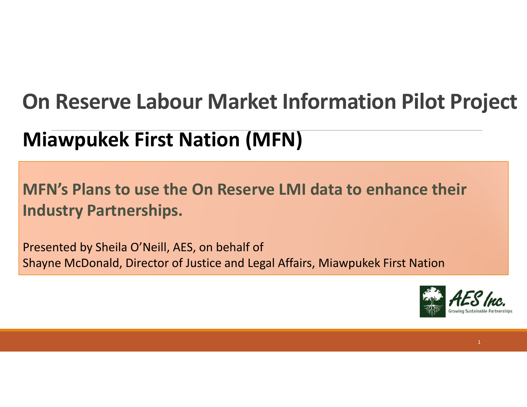#### **On Reserve Labour Market Information Pilot Project**

#### **Miawpukek First Nation (MFN)**

#### **MFN's Plans to use the On Reserve LMI data to enhance their Industry Partnerships.**

Presented by Sheila O'Neill, AES, on behalf of Shayne McDonald, Director of Justice and Legal Affairs, Miawpukek First Nation

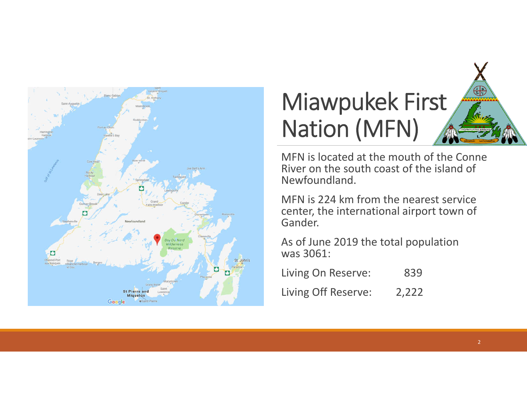



MFN is located at the mouth of the Conne River on the south coast of the island of Newfoundland.

MFN is 224 km from the nearest service center, the international airport town of Gander.

As of June 2019 the total population was 3061:

Living On Reserve: 839

Living Off Reserve: 2,222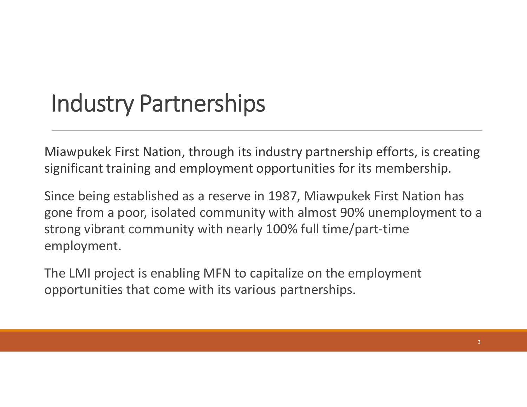### Industry Partnerships

Miawpukek First Nation, through its industry partnership efforts, is creating significant training and employment opportunities for its membership.

Since being established as a reserve in 1987, Miawpukek First Nation has gone from a poor, isolated community with almost 90% unemployment to a strong vibrant community with nearly 100% full time/part-time employment.

The LMI project is enabling MFN to capitalize on the employment opportunities that come with its various partnerships.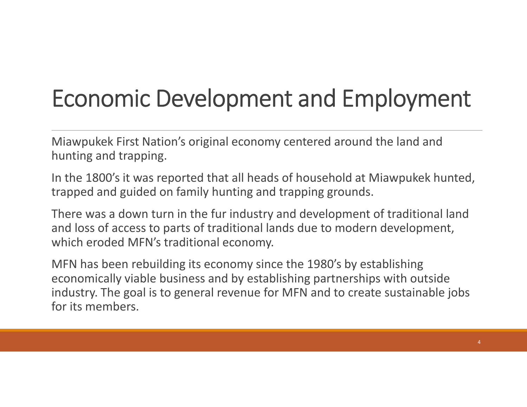# Economic Development and Employment

Miawpukek First Nation's original economy centered around the land and hunting and trapping.

In the 1800's it was reported that all heads of household at Miawpukek hunted, trapped and guided on family hunting and trapping grounds.

There was a down turn in the fur industry and development of traditional land and loss of access to parts of traditional lands due to modern development, which eroded MFN's traditional economy.

MFN has been rebuilding its economy since the 1980's by establishing economically viable business and by establishing partnerships with outside industry. The goal is to general revenue for MFN and to create sustainable jobs for its members.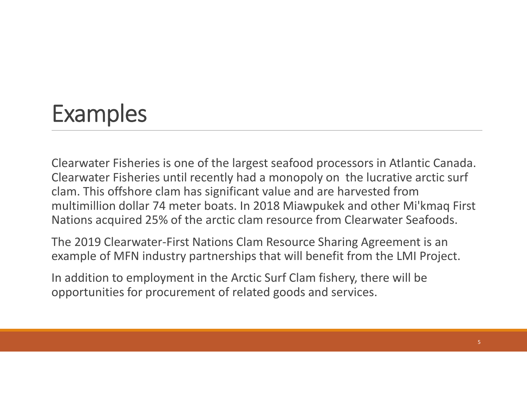## Examples

Clearwater Fisheries is one of the largest seafood processors in Atlantic Canada. Clearwater Fisheries until recently had a monopoly on the lucrative arctic surf clam. This offshore clam has significant value and are harvested from multimillion dollar 74 meter boats. In 2018 Miawpukek and other Mi'kmaq First Nations acquired 25% of the arctic clam resource from Clearwater Seafoods.

The 2019 Clearwater-First Nations Clam Resource Sharing Agreement is an example of MFN industry partnerships that will benefit from the LMI Project.

In addition to employment in the Arctic Surf Clam fishery, there will be opportunities for procurement of related goods and services.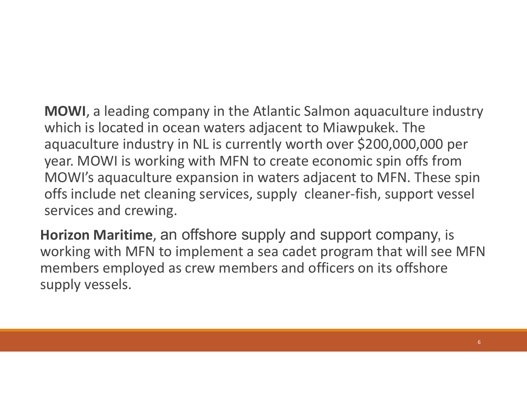**MOWI**, a leading company in the Atlantic Salmon aquaculture industry which is located in ocean waters adjacent to Miawpukek. The aquaculture industry in NL is currently worth over \$200,000,000 per year. MOWI is working with MFN to create economic spin offs from MOWI's aquaculture expansion in waters adjacent to MFN. These spin offs include net cleaning services, supply cleaner-fish, support vessel services and crewing.

**Horizon Maritime**, an offshore supply and support company, is working with MFN to implement a sea cadet program that will see MFN members employed as crew members and officers on its offshore supply vessels.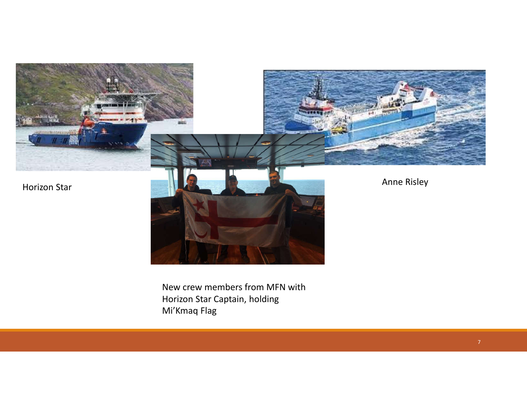

New crew members from MFN with Horizon Star Captain, holding Mi'Kmaq Flag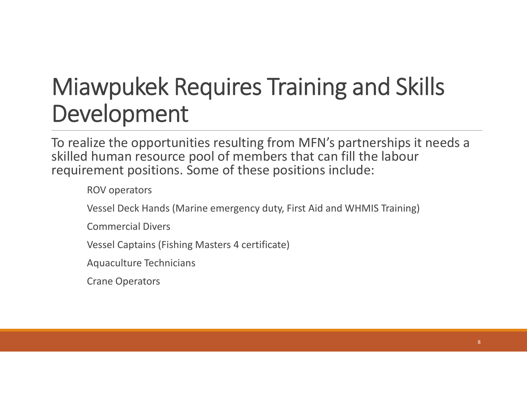# Miawpukek Requires Training and Skills Development

To realize the opportunities resulting from MFN's partnerships it needs a skilled human resource pool of members that can fill the labour requirement positions. Some of these positions include:

ROV operators

Vessel Deck Hands (Marine emergency duty, First Aid and WHMIS Training)

Commercial Divers

Vessel Captains (Fishing Masters 4 certificate)

Aquaculture Technicians

Crane Operators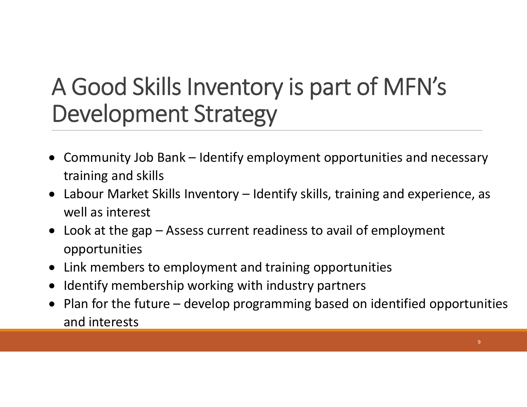# A Good Skills Inventory is part of MFN's Development Strategy

- Community Job Bank Identify employment opportunities and necessary training and skills
- Labour Market Skills Inventory Identify skills, training and experience, as well as interest
- Look at the gap Assess current readiness to avail of employment opportunities
- Link members to employment and training opportunities
- Identify membership working with industry partners
- Plan for the future develop programming based on identified opportunities and interests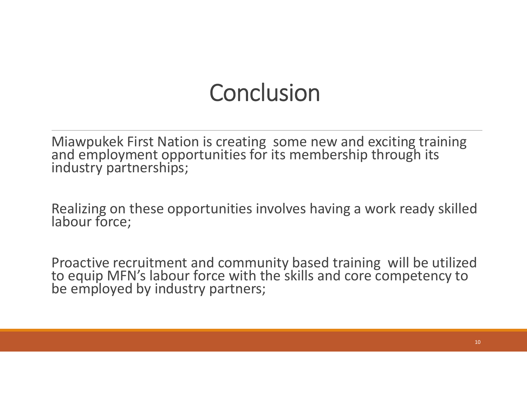### **Conclusion**

Miawpukek First Nation is creating some new and exciting training and employment opportunities for its membership through its industry partnerships;

Realizing on these opportunities involves having a work ready skilled labour force;

Proactive recruitment and community based training will be utilized to equip MFN's labour force with the skills and core competency to be employed by industry partners;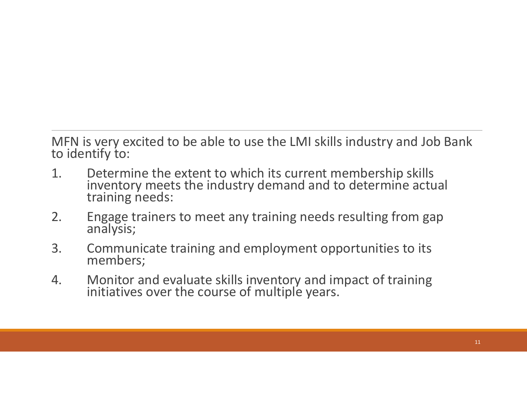MFN is very excited to be able to use the LMI skills industry and Job Bank to identify to:

- 1. Determine the extent to which its current membership skills inventory meets the industry demand and to determine actual training needs:
- 2. Engage trainers to meet any training needs resulting from gap analysis;
- 3. Communicate training and employment opportunities to its members;
- 4. Monitor and evaluate skills inventory and impact of training initiatives over the course of multiple years.